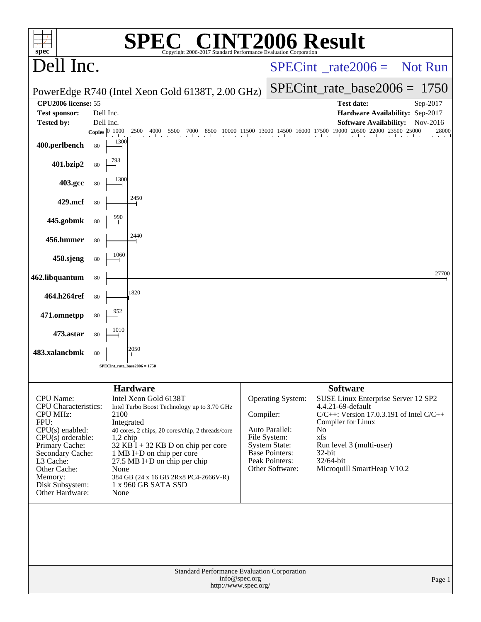| spec <sup>®</sup>                                                                                                                                                                                                                          |                         | <b>SPEC® CINT2006 Result</b><br>Copyright 2006-2017 Standard Performance Evaluation Corporation                                                                                                                                                                                                                                               |           |                                                                                                                                           |                                                                                                                                                                                                                                                        |          |
|--------------------------------------------------------------------------------------------------------------------------------------------------------------------------------------------------------------------------------------------|-------------------------|-----------------------------------------------------------------------------------------------------------------------------------------------------------------------------------------------------------------------------------------------------------------------------------------------------------------------------------------------|-----------|-------------------------------------------------------------------------------------------------------------------------------------------|--------------------------------------------------------------------------------------------------------------------------------------------------------------------------------------------------------------------------------------------------------|----------|
| Dell Inc.                                                                                                                                                                                                                                  |                         |                                                                                                                                                                                                                                                                                                                                               |           | $SPECint^*_{\text{inter}}$ rate $2006 =$ Not Run                                                                                          |                                                                                                                                                                                                                                                        |          |
|                                                                                                                                                                                                                                            |                         | PowerEdge R740 (Intel Xeon Gold 6138T, 2.00 GHz)                                                                                                                                                                                                                                                                                              |           | $SPECint_rate_base2006 = 1750$                                                                                                            |                                                                                                                                                                                                                                                        |          |
| CPU2006 license: 55                                                                                                                                                                                                                        |                         |                                                                                                                                                                                                                                                                                                                                               |           |                                                                                                                                           | <b>Test date:</b>                                                                                                                                                                                                                                      | Sep-2017 |
| <b>Test sponsor:</b><br><b>Tested by:</b>                                                                                                                                                                                                  | Dell Inc.<br>Dell Inc.  |                                                                                                                                                                                                                                                                                                                                               |           |                                                                                                                                           | Hardware Availability: Sep-2017<br><b>Software Availability:</b>                                                                                                                                                                                       | Nov-2016 |
|                                                                                                                                                                                                                                            | Copies $\boxed{0 1000}$ | 500 4000 5500 7000 8500 10000 11500 13000 14500 16000 17500 19000 20500 22000 23500 25000<br>2500                                                                                                                                                                                                                                             |           |                                                                                                                                           |                                                                                                                                                                                                                                                        | 28000    |
| 400.perlbench                                                                                                                                                                                                                              | 1300<br>80              |                                                                                                                                                                                                                                                                                                                                               |           |                                                                                                                                           |                                                                                                                                                                                                                                                        |          |
| 401.bzip2                                                                                                                                                                                                                                  | 80                      |                                                                                                                                                                                                                                                                                                                                               |           |                                                                                                                                           |                                                                                                                                                                                                                                                        |          |
| 403.gcc                                                                                                                                                                                                                                    | 1300<br>80              |                                                                                                                                                                                                                                                                                                                                               |           |                                                                                                                                           |                                                                                                                                                                                                                                                        |          |
| 429.mcf                                                                                                                                                                                                                                    | 80                      | 2450                                                                                                                                                                                                                                                                                                                                          |           |                                                                                                                                           |                                                                                                                                                                                                                                                        |          |
| 445.gobmk                                                                                                                                                                                                                                  | 990<br>80               |                                                                                                                                                                                                                                                                                                                                               |           |                                                                                                                                           |                                                                                                                                                                                                                                                        |          |
| 456.hmmer                                                                                                                                                                                                                                  | 80                      | 2440                                                                                                                                                                                                                                                                                                                                          |           |                                                                                                                                           |                                                                                                                                                                                                                                                        |          |
| 458.sjeng                                                                                                                                                                                                                                  | 1060<br>80              |                                                                                                                                                                                                                                                                                                                                               |           |                                                                                                                                           |                                                                                                                                                                                                                                                        |          |
| 462.libquantum                                                                                                                                                                                                                             | 80                      |                                                                                                                                                                                                                                                                                                                                               |           |                                                                                                                                           |                                                                                                                                                                                                                                                        | 27700    |
| 464.h264ref                                                                                                                                                                                                                                | 80                      | 1820                                                                                                                                                                                                                                                                                                                                          |           |                                                                                                                                           |                                                                                                                                                                                                                                                        |          |
| 471.omnetpp                                                                                                                                                                                                                                | 80                      |                                                                                                                                                                                                                                                                                                                                               |           |                                                                                                                                           |                                                                                                                                                                                                                                                        |          |
| 473.astar                                                                                                                                                                                                                                  | 1010<br>80              |                                                                                                                                                                                                                                                                                                                                               |           |                                                                                                                                           |                                                                                                                                                                                                                                                        |          |
| 483.xalancbmk                                                                                                                                                                                                                              | 80                      | 2050                                                                                                                                                                                                                                                                                                                                          |           |                                                                                                                                           |                                                                                                                                                                                                                                                        |          |
|                                                                                                                                                                                                                                            |                         | $SPECint_rate_base2006 = 1750$                                                                                                                                                                                                                                                                                                                |           |                                                                                                                                           |                                                                                                                                                                                                                                                        |          |
| <b>CPU</b> Name:<br><b>CPU</b> Characteristics:<br><b>CPU MHz:</b><br>FPU:<br>$CPU(s)$ enabled:<br>$CPU(s)$ orderable:<br>Primary Cache:<br>Secondary Cache:<br>L3 Cache:<br>Other Cache:<br>Memory:<br>Disk Subsystem:<br>Other Hardware: | 2100<br>None<br>None    | <b>Hardware</b><br>Intel Xeon Gold 6138T<br>Intel Turbo Boost Technology up to 3.70 GHz<br>Integrated<br>40 cores, 2 chips, 20 cores/chip, 2 threads/core<br>$1,2$ chip<br>$32$ KB I + 32 KB D on chip per core<br>1 MB I+D on chip per core<br>$27.5$ MB I+D on chip per chip<br>384 GB (24 x 16 GB 2Rx8 PC4-2666V-R)<br>1 x 960 GB SATA SSD | Compiler: | Operating System:<br>Auto Parallel:<br>File System:<br><b>System State:</b><br><b>Base Pointers:</b><br>Peak Pointers:<br>Other Software: | <b>Software</b><br>SUSE Linux Enterprise Server 12 SP2<br>4.4.21-69-default<br>$C/C++$ : Version 17.0.3.191 of Intel $C/C++$<br>Compiler for Linux<br>No<br>xfs<br>Run level 3 (multi-user)<br>$32$ -bit<br>$32/64$ -bit<br>Microquill SmartHeap V10.2 |          |
|                                                                                                                                                                                                                                            |                         | Standard Performance Evaluation Corporation<br>info@spec.org<br>http://www.spec.org/                                                                                                                                                                                                                                                          |           |                                                                                                                                           |                                                                                                                                                                                                                                                        | Page 1   |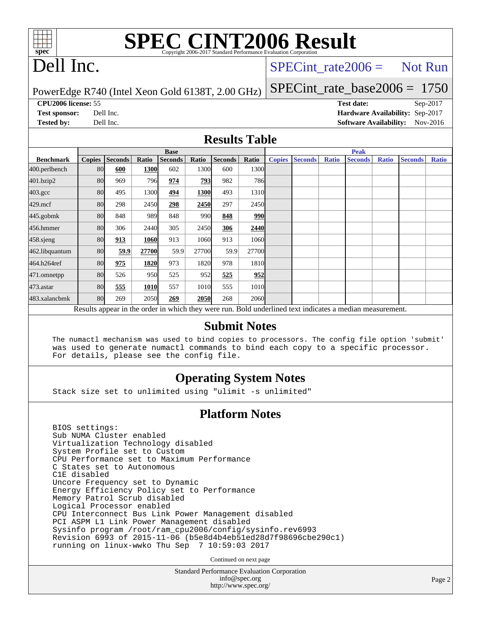

# **[SPEC CINT2006 Result](http://www.spec.org/auto/cpu2006/Docs/result-fields.html#SPECCINT2006Result)**

## Dell Inc.

## $SPECTnt_rate2006 = Not Run$

PowerEdge R740 (Intel Xeon Gold 6138T, 2.00 GHz)

[SPECint\\_rate\\_base2006 =](http://www.spec.org/auto/cpu2006/Docs/result-fields.html#SPECintratebase2006) 1750

**[CPU2006 license:](http://www.spec.org/auto/cpu2006/Docs/result-fields.html#CPU2006license)** 55 **[Test date:](http://www.spec.org/auto/cpu2006/Docs/result-fields.html#Testdate)** Sep-2017 **[Test sponsor:](http://www.spec.org/auto/cpu2006/Docs/result-fields.html#Testsponsor)** Dell Inc. **[Hardware Availability:](http://www.spec.org/auto/cpu2006/Docs/result-fields.html#HardwareAvailability)** Sep-2017 **[Tested by:](http://www.spec.org/auto/cpu2006/Docs/result-fields.html#Testedby)** Dell Inc. **[Software Availability:](http://www.spec.org/auto/cpu2006/Docs/result-fields.html#SoftwareAvailability)** Nov-2016

#### **[Results Table](http://www.spec.org/auto/cpu2006/Docs/result-fields.html#ResultsTable)**

|                    | <b>Base</b>                                                                                              |                |       |                |       |                |            | <b>Peak</b>   |                |              |                |              |                |              |
|--------------------|----------------------------------------------------------------------------------------------------------|----------------|-------|----------------|-------|----------------|------------|---------------|----------------|--------------|----------------|--------------|----------------|--------------|
| <b>Benchmark</b>   | <b>Copies</b>                                                                                            | <b>Seconds</b> | Ratio | <b>Seconds</b> | Ratio | <b>Seconds</b> | Ratio      | <b>Copies</b> | <b>Seconds</b> | <b>Ratio</b> | <b>Seconds</b> | <b>Ratio</b> | <b>Seconds</b> | <b>Ratio</b> |
| 400.perlbench      | 80                                                                                                       | 600            | 1300  | 602            | 1300  | 600            | 1300l      |               |                |              |                |              |                |              |
| 401.bzip2          | 80                                                                                                       | 969            | 796   | 974            | 793   | 982            | <b>786</b> |               |                |              |                |              |                |              |
| $403.\mathrm{gcc}$ | 80                                                                                                       | 495            | 1300  | 494            | 1300  | 493            | 1310       |               |                |              |                |              |                |              |
| $429$ .mcf         | 80                                                                                                       | 298            | 2450  | 298            | 2450  | 297            | 2450       |               |                |              |                |              |                |              |
| $445$ .gobm $k$    | 80                                                                                                       | 848            | 989   | 848            | 990   | 848            | 990        |               |                |              |                |              |                |              |
| 456.hmmer          | 80                                                                                                       | 306            | 2440  | 305            | 2450  | 306            | 2440       |               |                |              |                |              |                |              |
| $458$ .sjeng       | 80                                                                                                       | 913            | 1060  | 913            | 1060  | 913            | 1060       |               |                |              |                |              |                |              |
| 462.libquantum     | 80                                                                                                       | 59.9           | 27700 | 59.9           | 27700 | 59.9           | 27700      |               |                |              |                |              |                |              |
| 464.h264ref        | 80                                                                                                       | 975            | 1820  | 973            | 1820  | 978            | 1810       |               |                |              |                |              |                |              |
| 471.omnetpp        | 80                                                                                                       | 526            | 950   | 525            | 952   | 525            | 952        |               |                |              |                |              |                |              |
| $473$ . astar      | 80                                                                                                       | 555            | 1010  | 557            | 1010  | 555            | 1010       |               |                |              |                |              |                |              |
| 483.xalancbmk      | 80                                                                                                       | 269            | 2050  | 269            | 2050  | 268            | 2060       |               |                |              |                |              |                |              |
|                    | Results appear in the order in which they were run. Bold underlined text indicates a median measurement. |                |       |                |       |                |            |               |                |              |                |              |                |              |

#### **[Submit Notes](http://www.spec.org/auto/cpu2006/Docs/result-fields.html#SubmitNotes)**

 The numactl mechanism was used to bind copies to processors. The config file option 'submit' was used to generate numactl commands to bind each copy to a specific processor. For details, please see the config file.

## **[Operating System Notes](http://www.spec.org/auto/cpu2006/Docs/result-fields.html#OperatingSystemNotes)**

Stack size set to unlimited using "ulimit -s unlimited"

#### **[Platform Notes](http://www.spec.org/auto/cpu2006/Docs/result-fields.html#PlatformNotes)**

 BIOS settings: Sub NUMA Cluster enabled Virtualization Technology disabled System Profile set to Custom CPU Performance set to Maximum Performance C States set to Autonomous C1E disabled Uncore Frequency set to Dynamic Energy Efficiency Policy set to Performance Memory Patrol Scrub disabled Logical Processor enabled CPU Interconnect Bus Link Power Management disabled PCI ASPM L1 Link Power Management disabled Sysinfo program /root/ram\_cpu2006/config/sysinfo.rev6993 Revision 6993 of 2015-11-06 (b5e8d4b4eb51ed28d7f98696cbe290c1) running on linux-wwko Thu Sep 7 10:59:03 2017

Continued on next page

Standard Performance Evaluation Corporation [info@spec.org](mailto:info@spec.org) <http://www.spec.org/>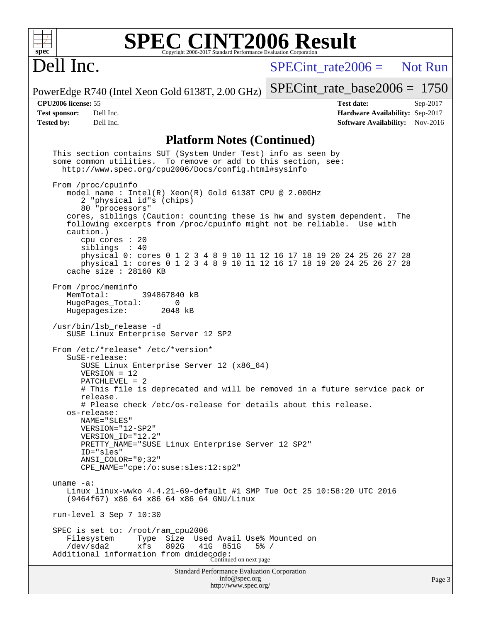

# **[SPEC CINT2006 Result](http://www.spec.org/auto/cpu2006/Docs/result-fields.html#SPECCINT2006Result)**

## Dell Inc.

[SPECint\\_rate2006 =](http://www.spec.org/auto/cpu2006/Docs/result-fields.html#SPECintrate2006) Not Run

PowerEdge R740 (Intel Xeon Gold 6138T, 2.00 GHz)

## [SPECint\\_rate\\_base2006 =](http://www.spec.org/auto/cpu2006/Docs/result-fields.html#SPECintratebase2006) 1750

**[CPU2006 license:](http://www.spec.org/auto/cpu2006/Docs/result-fields.html#CPU2006license)** 55 **[Test date:](http://www.spec.org/auto/cpu2006/Docs/result-fields.html#Testdate)** Sep-2017 **[Test sponsor:](http://www.spec.org/auto/cpu2006/Docs/result-fields.html#Testsponsor)** Dell Inc. **[Hardware Availability:](http://www.spec.org/auto/cpu2006/Docs/result-fields.html#HardwareAvailability)** Sep-2017 **[Tested by:](http://www.spec.org/auto/cpu2006/Docs/result-fields.html#Testedby)** Dell Inc. **[Software Availability:](http://www.spec.org/auto/cpu2006/Docs/result-fields.html#SoftwareAvailability)** Nov-2016

### **[Platform Notes \(Continued\)](http://www.spec.org/auto/cpu2006/Docs/result-fields.html#PlatformNotes)**

<http://www.spec.org/>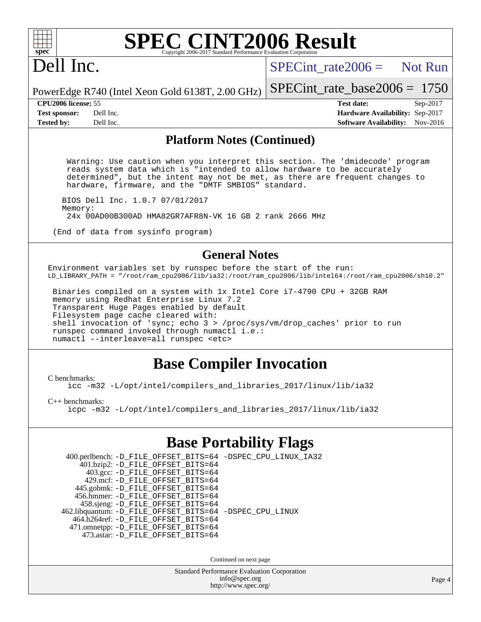

### **[SPEC CINT2006 Result](http://www.spec.org/auto/cpu2006/Docs/result-fields.html#SPECCINT2006Result)** Copyright 2006-2017 Standard Performance Evaluation C

## Dell Inc.

 $SPECint rate2006 =$  Not Run

[SPECint\\_rate\\_base2006 =](http://www.spec.org/auto/cpu2006/Docs/result-fields.html#SPECintratebase2006) 1750

PowerEdge R740 (Intel Xeon Gold 6138T, 2.00 GHz)

**[Tested by:](http://www.spec.org/auto/cpu2006/Docs/result-fields.html#Testedby)** Dell Inc. **[Software Availability:](http://www.spec.org/auto/cpu2006/Docs/result-fields.html#SoftwareAvailability)** Nov-2016

**[CPU2006 license:](http://www.spec.org/auto/cpu2006/Docs/result-fields.html#CPU2006license)** 55 **[Test date:](http://www.spec.org/auto/cpu2006/Docs/result-fields.html#Testdate)** Sep-2017 **[Test sponsor:](http://www.spec.org/auto/cpu2006/Docs/result-fields.html#Testsponsor)** Dell Inc. **[Hardware Availability:](http://www.spec.org/auto/cpu2006/Docs/result-fields.html#HardwareAvailability)** Sep-2017

#### **[Platform Notes \(Continued\)](http://www.spec.org/auto/cpu2006/Docs/result-fields.html#PlatformNotes)**

 Warning: Use caution when you interpret this section. The 'dmidecode' program reads system data which is "intended to allow hardware to be accurately determined", but the intent may not be met, as there are frequent changes to hardware, firmware, and the "DMTF SMBIOS" standard.

 BIOS Dell Inc. 1.0.7 07/01/2017 Memory: 24x 00AD00B300AD HMA82GR7AFR8N-VK 16 GB 2 rank 2666 MHz

(End of data from sysinfo program)

### **[General Notes](http://www.spec.org/auto/cpu2006/Docs/result-fields.html#GeneralNotes)**

Environment variables set by runspec before the start of the run: LD\_LIBRARY\_PATH = "/root/ram\_cpu2006/lib/ia32:/root/ram\_cpu2006/lib/intel64:/root/ram\_cpu2006/sh10.2"

 Binaries compiled on a system with 1x Intel Core i7-4790 CPU + 32GB RAM memory using Redhat Enterprise Linux 7.2 Transparent Huge Pages enabled by default Filesystem page cache cleared with: shell invocation of 'sync; echo 3 > /proc/sys/vm/drop\_caches' prior to run runspec command invoked through numactl i.e.: numactl --interleave=all runspec <etc>

## **[Base Compiler Invocation](http://www.spec.org/auto/cpu2006/Docs/result-fields.html#BaseCompilerInvocation)**

[C benchmarks](http://www.spec.org/auto/cpu2006/Docs/result-fields.html#Cbenchmarks):

[icc -m32 -L/opt/intel/compilers\\_and\\_libraries\\_2017/linux/lib/ia32](http://www.spec.org/cpu2006/results/res2017q4/cpu2006-20170918-49817.flags.html#user_CCbase_intel_icc_c29f3ff5a7ed067b11e4ec10a03f03ae)

[C++ benchmarks:](http://www.spec.org/auto/cpu2006/Docs/result-fields.html#CXXbenchmarks)

[icpc -m32 -L/opt/intel/compilers\\_and\\_libraries\\_2017/linux/lib/ia32](http://www.spec.org/cpu2006/results/res2017q4/cpu2006-20170918-49817.flags.html#user_CXXbase_intel_icpc_8c35c7808b62dab9ae41a1aa06361b6b)

## **[Base Portability Flags](http://www.spec.org/auto/cpu2006/Docs/result-fields.html#BasePortabilityFlags)**

| 400.perlbench: -D_FILE_OFFSET_BITS=64 -DSPEC_CPU_LINUX_IA32<br>401.bzip2: -D_FILE_OFFSET_BITS=64 |  |
|--------------------------------------------------------------------------------------------------|--|
| 403.gcc: -D_FILE_OFFSET_BITS=64<br>429.mcf: -D FILE OFFSET BITS=64                               |  |
| 445.gobmk: -D_FILE_OFFSET_BITS=64<br>456.hmmer: -D FILE OFFSET BITS=64                           |  |
| 458.sjeng: -D_FILE_OFFSET_BITS=64                                                                |  |
| 462.libquantum: -D_FILE_OFFSET_BITS=64 -DSPEC_CPU_LINUX<br>464.h264ref: -D_FILE_OFFSET_BITS=64   |  |
| 471.omnetpp: -D_FILE_OFFSET_BITS=64<br>473.astar: -D FILE OFFSET BITS=64                         |  |
|                                                                                                  |  |

Continued on next page

Standard Performance Evaluation Corporation [info@spec.org](mailto:info@spec.org) <http://www.spec.org/>